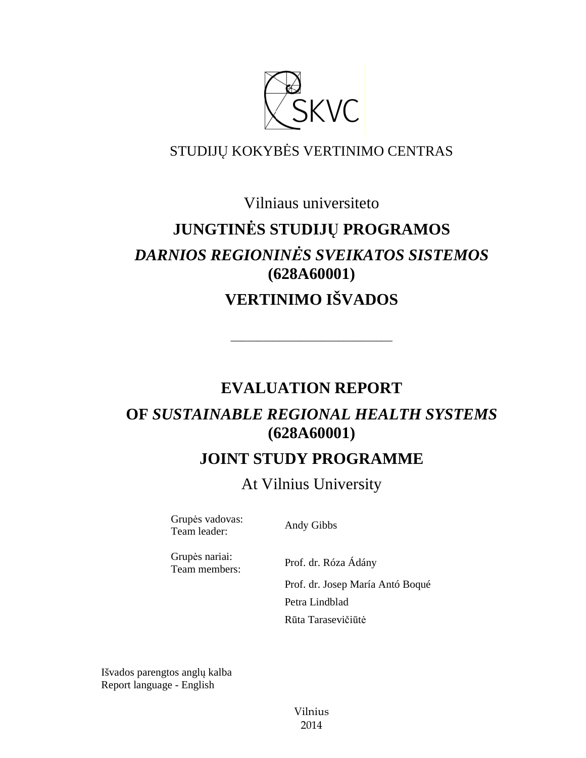

### STUDIJŲ KOKYBĖS VERTINIMO CENTRAS

### Vilniaus universiteto

# **JUNGTINĖS STUDIJŲ PROGRAMOS**  *DARNIOS REGIONINĖS SVEIKATOS SISTEMOS*  **(628A60001) VERTINIMO IŠVADOS**

# **EVALUATION REPORT**

––––––––––––––––––––––––––––––

# **OF** *SUSTAINABLE REGIONAL HEALTH SYSTEMS*  **(628A60001)**

# **JOINT STUDY PROGRAMME**

At Vilnius University

Grupės vadovas: Team leader: Andy Gibbs

Grupės nariai: Team members: Prof. dr. Róza Ádány

 Prof. dr. Josep María Antó Boqué Petra Lindblad Rūta Tarasevičiūtė

Išvados parengtos anglų kalba Report language - English

> Vilnius 2014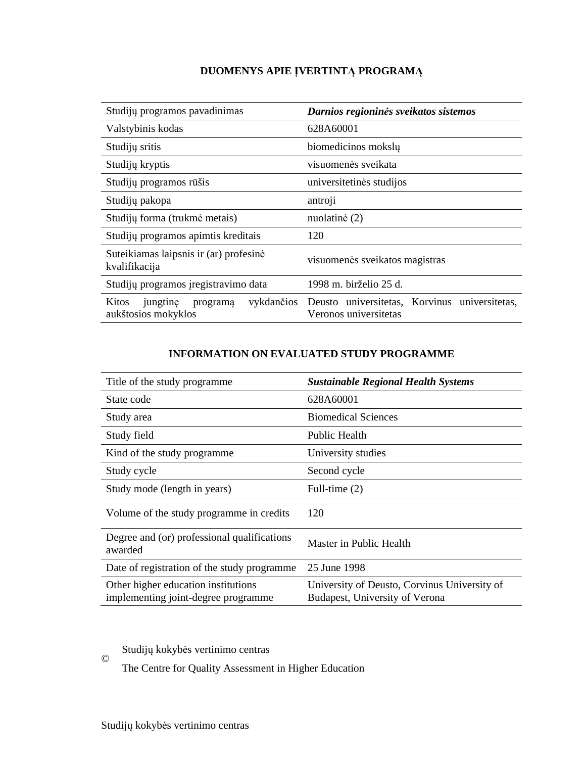### **DUOMENYS APIE ĮVERTINTĄ PROGRAMĄ**

| Studijų programos pavadinimas                           | Darnios regioninės sveikatos sistemos                                             |  |
|---------------------------------------------------------|-----------------------------------------------------------------------------------|--|
| Valstybinis kodas                                       | 628A60001                                                                         |  |
| Studijų sritis                                          | biomedicinos mokslų                                                               |  |
| Studijų kryptis                                         | visuomenės sveikata                                                               |  |
| Studijų programos rūšis                                 | universitetinės studijos                                                          |  |
| Studijų pakopa                                          | antroji                                                                           |  |
| Studijų forma (trukmė metais)                           | nuolatinė (2)                                                                     |  |
| Studijų programos apimtis kreditais                     | 120                                                                               |  |
| Suteikiamas laipsnis ir (ar) profesinė<br>kvalifikacija | visuomenės sveikatos magistras                                                    |  |
| Studijų programos įregistravimo data                    | 1998 m. birželio 25 d.                                                            |  |
| Kitos<br>jungtine<br>programa<br>aukštosios mokyklos    | vykdančios Deusto universitetas, Korvinus universitetas,<br>Veronos universitetas |  |

#### **INFORMATION ON EVALUATED STUDY PROGRAMME**

| Title of the study programme                                               | <b>Sustainable Regional Health Systems</b>                                     |
|----------------------------------------------------------------------------|--------------------------------------------------------------------------------|
| State code                                                                 | 628A60001                                                                      |
| Study area                                                                 | <b>Biomedical Sciences</b>                                                     |
| Study field                                                                | Public Health                                                                  |
| Kind of the study programme.                                               | University studies                                                             |
| Study cycle                                                                | Second cycle                                                                   |
| Study mode (length in years)                                               | Full-time $(2)$                                                                |
| Volume of the study programme in credits                                   | 120                                                                            |
| Degree and (or) professional qualifications<br>awarded                     | Master in Public Health                                                        |
| Date of registration of the study programme                                | 25 June 1998                                                                   |
| Other higher education institutions<br>implementing joint-degree programme | University of Deusto, Corvinus University of<br>Budapest, University of Verona |

© Studijų kokybės vertinimo centras

The Centre for Quality Assessment in Higher Education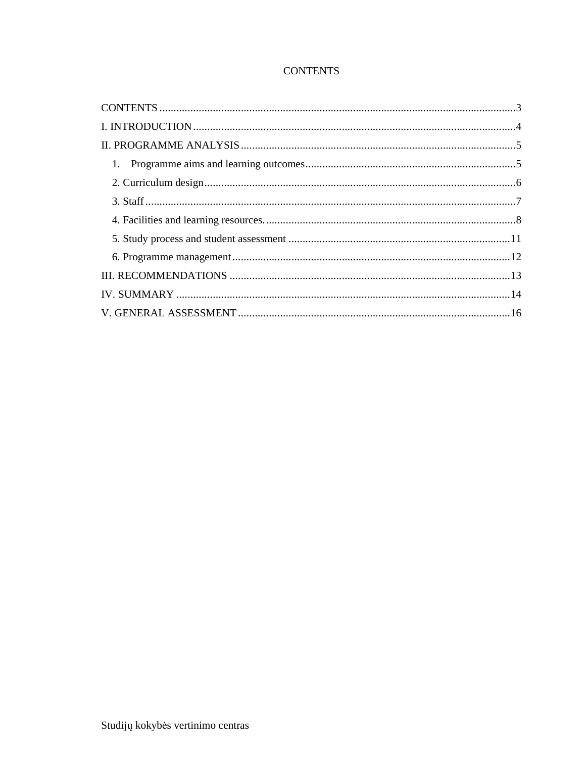### **CONTENTS**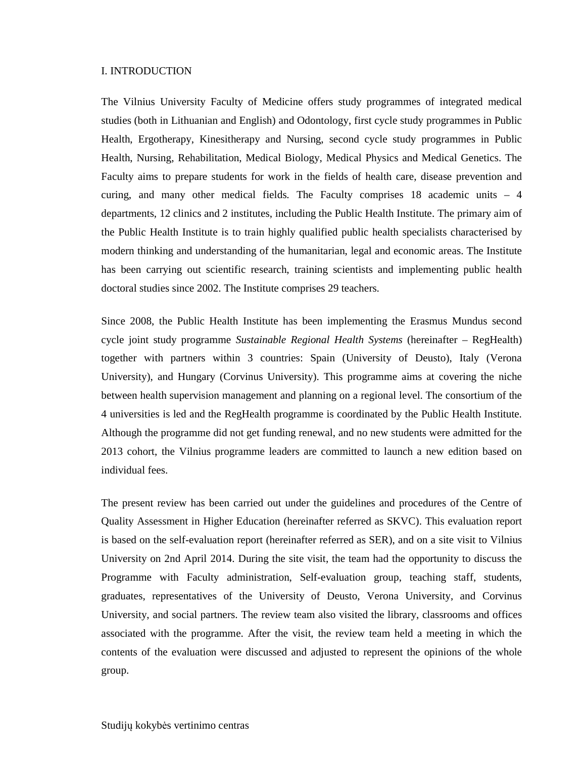#### I. INTRODUCTION

The Vilnius University Faculty of Medicine offers study programmes of integrated medical studies (both in Lithuanian and English) and Odontology, first cycle study programmes in Public Health, Ergotherapy, Kinesitherapy and Nursing, second cycle study programmes in Public Health, Nursing, Rehabilitation, Medical Biology, Medical Physics and Medical Genetics. The Faculty aims to prepare students for work in the fields of health care, disease prevention and curing, and many other medical fields. The Faculty comprises 18 academic units – 4 departments, 12 clinics and 2 institutes, including the Public Health Institute. The primary aim of the Public Health Institute is to train highly qualified public health specialists characterised by modern thinking and understanding of the humanitarian, legal and economic areas. The Institute has been carrying out scientific research, training scientists and implementing public health doctoral studies since 2002. The Institute comprises 29 teachers.

Since 2008, the Public Health Institute has been implementing the Erasmus Mundus second cycle joint study programme *Sustainable Regional Health Systems* (hereinafter – RegHealth) together with partners within 3 countries: Spain (University of Deusto), Italy (Verona University), and Hungary (Corvinus University). This programme aims at covering the niche between health supervision management and planning on a regional level. The consortium of the 4 universities is led and the RegHealth programme is coordinated by the Public Health Institute. Although the programme did not get funding renewal, and no new students were admitted for the 2013 cohort, the Vilnius programme leaders are committed to launch a new edition based on individual fees.

The present review has been carried out under the guidelines and procedures of the Centre of Quality Assessment in Higher Education (hereinafter referred as SKVC). This evaluation report is based on the self-evaluation report (hereinafter referred as SER), and on a site visit to Vilnius University on 2nd April 2014. During the site visit, the team had the opportunity to discuss the Programme with Faculty administration, Self-evaluation group, teaching staff, students, graduates, representatives of the University of Deusto, Verona University, and Corvinus University, and social partners. The review team also visited the library, classrooms and offices associated with the programme. After the visit, the review team held a meeting in which the contents of the evaluation were discussed and adjusted to represent the opinions of the whole group.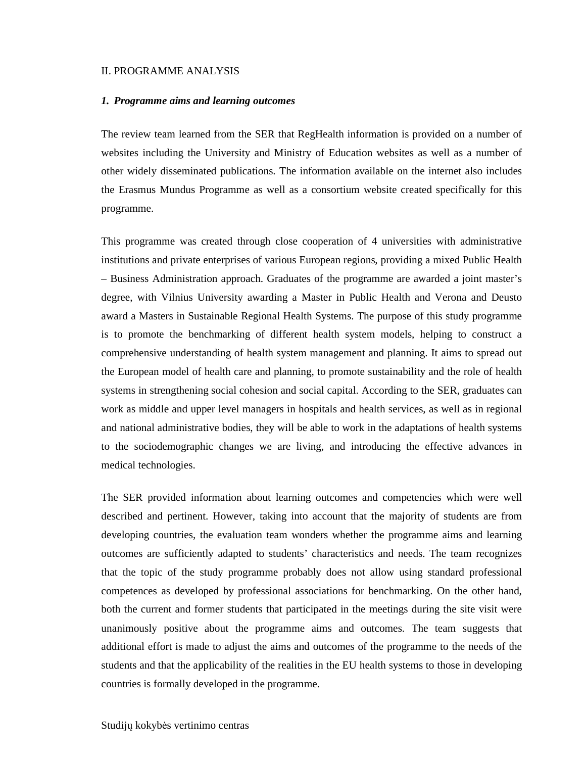#### II. PROGRAMME ANALYSIS

#### *1. Programme aims and learning outcomes*

The review team learned from the SER that RegHealth information is provided on a number of websites including the University and Ministry of Education websites as well as a number of other widely disseminated publications. The information available on the internet also includes the Erasmus Mundus Programme as well as a consortium website created specifically for this programme.

This programme was created through close cooperation of 4 universities with administrative institutions and private enterprises of various European regions, providing a mixed Public Health – Business Administration approach. Graduates of the programme are awarded a joint master's degree, with Vilnius University awarding a Master in Public Health and Verona and Deusto award a Masters in Sustainable Regional Health Systems. The purpose of this study programme is to promote the benchmarking of different health system models, helping to construct a comprehensive understanding of health system management and planning. It aims to spread out the European model of health care and planning, to promote sustainability and the role of health systems in strengthening social cohesion and social capital. According to the SER, graduates can work as middle and upper level managers in hospitals and health services, as well as in regional and national administrative bodies, they will be able to work in the adaptations of health systems to the sociodemographic changes we are living, and introducing the effective advances in medical technologies.

The SER provided information about learning outcomes and competencies which were well described and pertinent. However, taking into account that the majority of students are from developing countries, the evaluation team wonders whether the programme aims and learning outcomes are sufficiently adapted to students' characteristics and needs. The team recognizes that the topic of the study programme probably does not allow using standard professional competences as developed by professional associations for benchmarking. On the other hand, both the current and former students that participated in the meetings during the site visit were unanimously positive about the programme aims and outcomes. The team suggests that additional effort is made to adjust the aims and outcomes of the programme to the needs of the students and that the applicability of the realities in the EU health systems to those in developing countries is formally developed in the programme.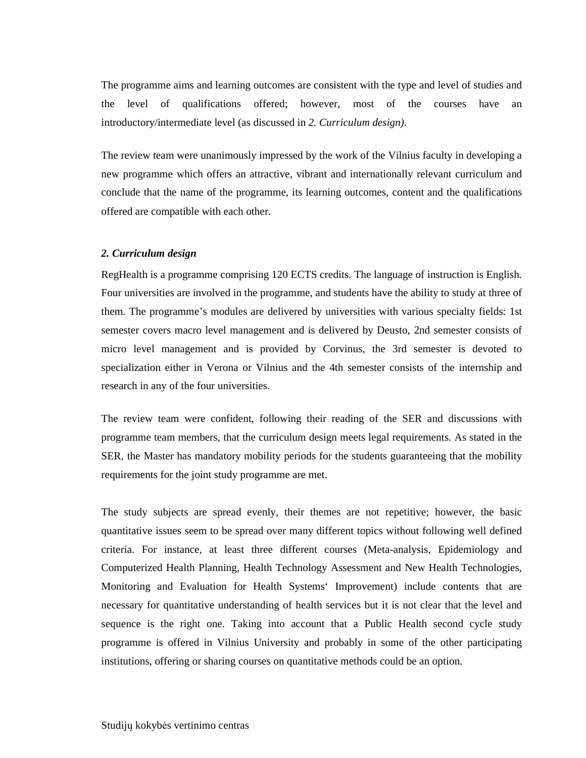The programme aims and learning outcomes are consistent with the type and level of studies and the level of qualifications offered; however, most of the courses have an introductory/intermediate level (as discussed in *2. Curriculum design)*.

The review team were unanimously impressed by the work of the Vilnius faculty in developing a new programme which offers an attractive, vibrant and internationally relevant curriculum and conclude that the name of the programme, its learning outcomes, content and the qualifications offered are compatible with each other.

#### *2. Curriculum design*

RegHealth is a programme comprising 120 ECTS credits. The language of instruction is English. Four universities are involved in the programme, and students have the ability to study at three of them. The programme's modules are delivered by universities with various specialty fields: 1st semester covers macro level management and is delivered by Deusto, 2nd semester consists of micro level management and is provided by Corvinus, the 3rd semester is devoted to specialization either in Verona or Vilnius and the 4th semester consists of the internship and research in any of the four universities.

The review team were confident, following their reading of the SER and discussions with programme team members, that the curriculum design meets legal requirements. As stated in the SER, the Master has mandatory mobility periods for the students guaranteeing that the mobility requirements for the joint study programme are met.

The study subjects are spread evenly, their themes are not repetitive; however, the basic quantitative issues seem to be spread over many different topics without following well defined criteria. For instance, at least three different courses (Meta-analysis, Epidemiology and Computerized Health Planning, Health Technology Assessment and New Health Technologies, Monitoring and Evaluation for Health Systems' Improvement) include contents that are necessary for quantitative understanding of health services but it is not clear that the level and sequence is the right one. Taking into account that a Public Health second cycle study programme is offered in Vilnius University and probably in some of the other participating institutions, offering or sharing courses on quantitative methods could be an option.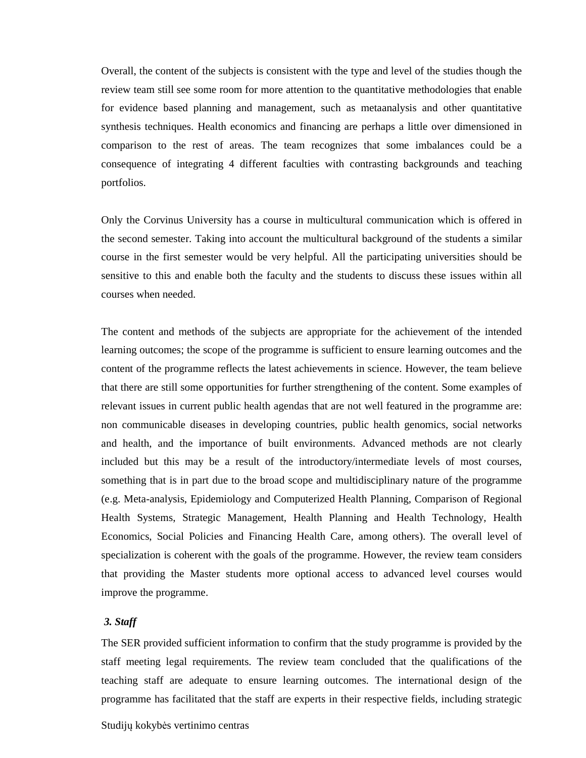Overall, the content of the subjects is consistent with the type and level of the studies though the review team still see some room for more attention to the quantitative methodologies that enable for evidence based planning and management, such as metaanalysis and other quantitative synthesis techniques. Health economics and financing are perhaps a little over dimensioned in comparison to the rest of areas. The team recognizes that some imbalances could be a consequence of integrating 4 different faculties with contrasting backgrounds and teaching portfolios.

Only the Corvinus University has a course in multicultural communication which is offered in the second semester. Taking into account the multicultural background of the students a similar course in the first semester would be very helpful. All the participating universities should be sensitive to this and enable both the faculty and the students to discuss these issues within all courses when needed.

The content and methods of the subjects are appropriate for the achievement of the intended learning outcomes; the scope of the programme is sufficient to ensure learning outcomes and the content of the programme reflects the latest achievements in science. However, the team believe that there are still some opportunities for further strengthening of the content. Some examples of relevant issues in current public health agendas that are not well featured in the programme are: non communicable diseases in developing countries, public health genomics, social networks and health, and the importance of built environments. Advanced methods are not clearly included but this may be a result of the introductory/intermediate levels of most courses, something that is in part due to the broad scope and multidisciplinary nature of the programme (e.g. Meta-analysis, Epidemiology and Computerized Health Planning, Comparison of Regional Health Systems, Strategic Management, Health Planning and Health Technology, Health Economics, Social Policies and Financing Health Care, among others). The overall level of specialization is coherent with the goals of the programme. However, the review team considers that providing the Master students more optional access to advanced level courses would improve the programme.

#### *3. Staff*

The SER provided sufficient information to confirm that the study programme is provided by the staff meeting legal requirements. The review team concluded that the qualifications of the teaching staff are adequate to ensure learning outcomes. The international design of the programme has facilitated that the staff are experts in their respective fields, including strategic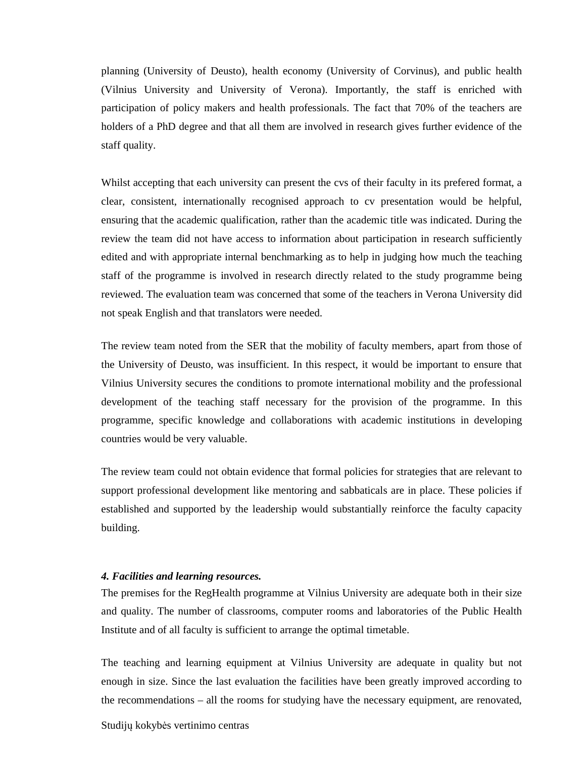planning (University of Deusto), health economy (University of Corvinus), and public health (Vilnius University and University of Verona). Importantly, the staff is enriched with participation of policy makers and health professionals. The fact that 70% of the teachers are holders of a PhD degree and that all them are involved in research gives further evidence of the staff quality.

Whilst accepting that each university can present the cvs of their faculty in its prefered format, a clear, consistent, internationally recognised approach to cv presentation would be helpful, ensuring that the academic qualification, rather than the academic title was indicated. During the review the team did not have access to information about participation in research sufficiently edited and with appropriate internal benchmarking as to help in judging how much the teaching staff of the programme is involved in research directly related to the study programme being reviewed. The evaluation team was concerned that some of the teachers in Verona University did not speak English and that translators were needed.

The review team noted from the SER that the mobility of faculty members, apart from those of the University of Deusto, was insufficient. In this respect, it would be important to ensure that Vilnius University secures the conditions to promote international mobility and the professional development of the teaching staff necessary for the provision of the programme. In this programme, specific knowledge and collaborations with academic institutions in developing countries would be very valuable.

The review team could not obtain evidence that formal policies for strategies that are relevant to support professional development like mentoring and sabbaticals are in place. These policies if established and supported by the leadership would substantially reinforce the faculty capacity building.

#### *4. Facilities and learning resources.*

The premises for the RegHealth programme at Vilnius University are adequate both in their size and quality. The number of classrooms, computer rooms and laboratories of the Public Health Institute and of all faculty is sufficient to arrange the optimal timetable.

The teaching and learning equipment at Vilnius University are adequate in quality but not enough in size. Since the last evaluation the facilities have been greatly improved according to the recommendations – all the rooms for studying have the necessary equipment, are renovated,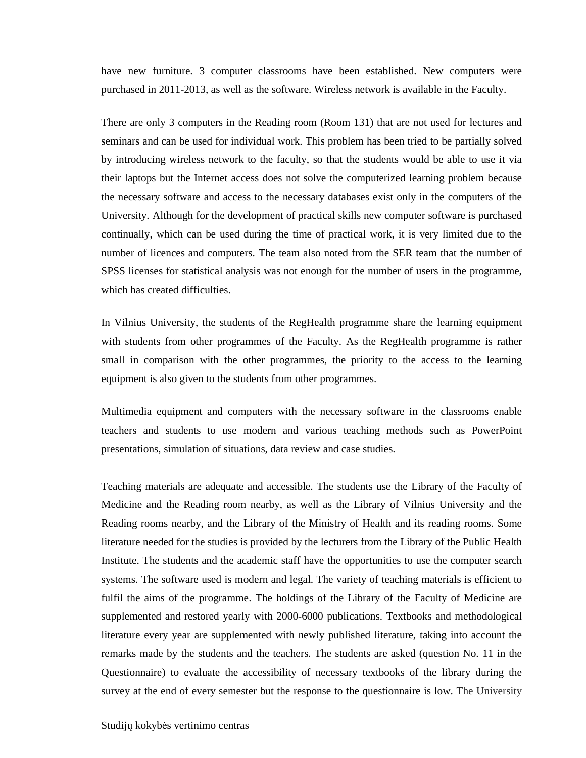have new furniture. 3 computer classrooms have been established. New computers were purchased in 2011-2013, as well as the software. Wireless network is available in the Faculty.

There are only 3 computers in the Reading room (Room 131) that are not used for lectures and seminars and can be used for individual work. This problem has been tried to be partially solved by introducing wireless network to the faculty, so that the students would be able to use it via their laptops but the Internet access does not solve the computerized learning problem because the necessary software and access to the necessary databases exist only in the computers of the University. Although for the development of practical skills new computer software is purchased continually, which can be used during the time of practical work, it is very limited due to the number of licences and computers. The team also noted from the SER team that the number of SPSS licenses for statistical analysis was not enough for the number of users in the programme, which has created difficulties.

In Vilnius University, the students of the RegHealth programme share the learning equipment with students from other programmes of the Faculty. As the RegHealth programme is rather small in comparison with the other programmes, the priority to the access to the learning equipment is also given to the students from other programmes.

Multimedia equipment and computers with the necessary software in the classrooms enable teachers and students to use modern and various teaching methods such as PowerPoint presentations, simulation of situations, data review and case studies.

Teaching materials are adequate and accessible. The students use the Library of the Faculty of Medicine and the Reading room nearby, as well as the Library of Vilnius University and the Reading rooms nearby, and the Library of the Ministry of Health and its reading rooms. Some literature needed for the studies is provided by the lecturers from the Library of the Public Health Institute. The students and the academic staff have the opportunities to use the computer search systems. The software used is modern and legal. The variety of teaching materials is efficient to fulfil the aims of the programme. The holdings of the Library of the Faculty of Medicine are supplemented and restored yearly with 2000-6000 publications. Textbooks and methodological literature every year are supplemented with newly published literature, taking into account the remarks made by the students and the teachers. The students are asked (question No. 11 in the Questionnaire) to evaluate the accessibility of necessary textbooks of the library during the survey at the end of every semester but the response to the questionnaire is low. The University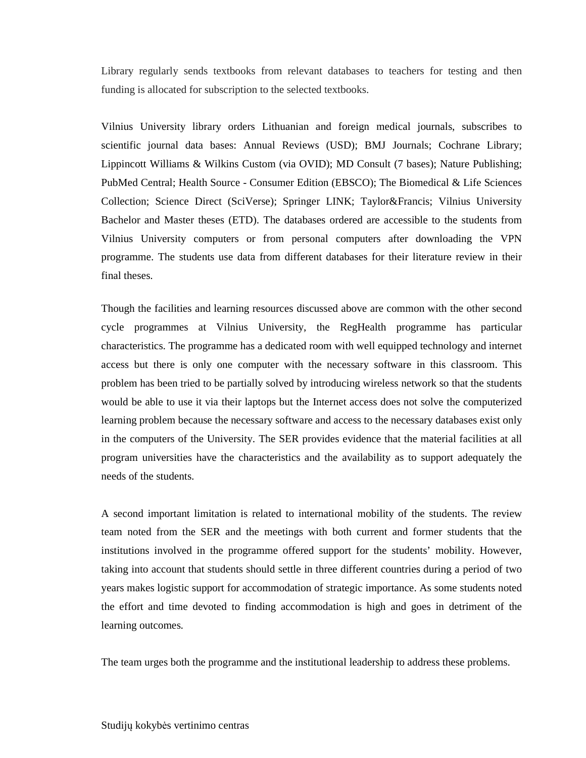Library regularly sends textbooks from relevant databases to teachers for testing and then funding is allocated for subscription to the selected textbooks.

Vilnius University library orders Lithuanian and foreign medical journals, subscribes to scientific journal data bases: Annual Reviews (USD); BMJ Journals; Cochrane Library; Lippincott Williams & Wilkins Custom (via OVID); MD Consult (7 bases); Nature Publishing; PubMed Central; Health Source - Consumer Edition (EBSCO); The Biomedical & Life Sciences Collection; Science Direct (SciVerse); Springer LINK; Taylor&Francis; Vilnius University Bachelor and Master theses (ETD). The databases ordered are accessible to the students from Vilnius University computers or from personal computers after downloading the VPN programme. The students use data from different databases for their literature review in their final theses.

Though the facilities and learning resources discussed above are common with the other second cycle programmes at Vilnius University, the RegHealth programme has particular characteristics. The programme has a dedicated room with well equipped technology and internet access but there is only one computer with the necessary software in this classroom. This problem has been tried to be partially solved by introducing wireless network so that the students would be able to use it via their laptops but the Internet access does not solve the computerized learning problem because the necessary software and access to the necessary databases exist only in the computers of the University. The SER provides evidence that the material facilities at all program universities have the characteristics and the availability as to support adequately the needs of the students.

A second important limitation is related to international mobility of the students. The review team noted from the SER and the meetings with both current and former students that the institutions involved in the programme offered support for the students' mobility. However, taking into account that students should settle in three different countries during a period of two years makes logistic support for accommodation of strategic importance. As some students noted the effort and time devoted to finding accommodation is high and goes in detriment of the learning outcomes.

The team urges both the programme and the institutional leadership to address these problems.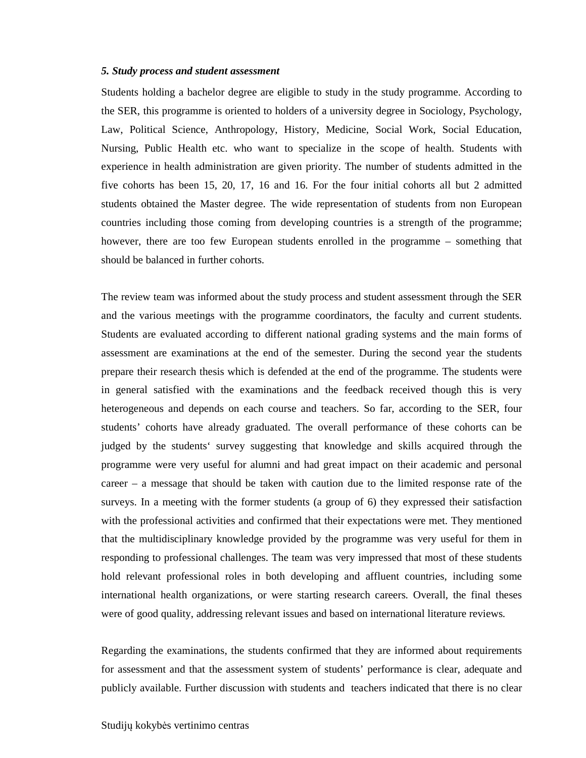#### *5. Study process and student assessment*

Students holding a bachelor degree are eligible to study in the study programme. According to the SER, this programme is oriented to holders of a university degree in Sociology, Psychology, Law, Political Science, Anthropology, History, Medicine, Social Work, Social Education, Nursing, Public Health etc. who want to specialize in the scope of health. Students with experience in health administration are given priority. The number of students admitted in the five cohorts has been 15, 20, 17, 16 and 16. For the four initial cohorts all but 2 admitted students obtained the Master degree. The wide representation of students from non European countries including those coming from developing countries is a strength of the programme; however, there are too few European students enrolled in the programme – something that should be balanced in further cohorts.

The review team was informed about the study process and student assessment through the SER and the various meetings with the programme coordinators, the faculty and current students. Students are evaluated according to different national grading systems and the main forms of assessment are examinations at the end of the semester. During the second year the students prepare their research thesis which is defended at the end of the programme. The students were in general satisfied with the examinations and the feedback received though this is very heterogeneous and depends on each course and teachers. So far, according to the SER, four students' cohorts have already graduated. The overall performance of these cohorts can be judged by the students' survey suggesting that knowledge and skills acquired through the programme were very useful for alumni and had great impact on their academic and personal career – a message that should be taken with caution due to the limited response rate of the surveys. In a meeting with the former students (a group of 6) they expressed their satisfaction with the professional activities and confirmed that their expectations were met. They mentioned that the multidisciplinary knowledge provided by the programme was very useful for them in responding to professional challenges. The team was very impressed that most of these students hold relevant professional roles in both developing and affluent countries, including some international health organizations, or were starting research careers. Overall, the final theses were of good quality, addressing relevant issues and based on international literature reviews.

Regarding the examinations, the students confirmed that they are informed about requirements for assessment and that the assessment system of students' performance is clear, adequate and publicly available. Further discussion with students and teachers indicated that there is no clear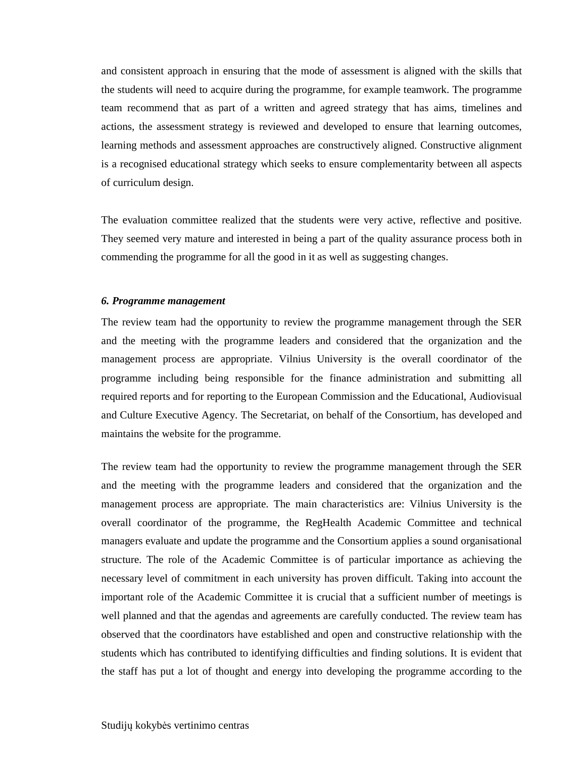and consistent approach in ensuring that the mode of assessment is aligned with the skills that the students will need to acquire during the programme, for example teamwork. The programme team recommend that as part of a written and agreed strategy that has aims, timelines and actions, the assessment strategy is reviewed and developed to ensure that learning outcomes, learning methods and assessment approaches are constructively aligned. Constructive alignment is a recognised educational strategy which seeks to ensure complementarity between all aspects of curriculum design.

The evaluation committee realized that the students were very active, reflective and positive. They seemed very mature and interested in being a part of the quality assurance process both in commending the programme for all the good in it as well as suggesting changes.

#### *6. Programme management*

The review team had the opportunity to review the programme management through the SER and the meeting with the programme leaders and considered that the organization and the management process are appropriate. Vilnius University is the overall coordinator of the programme including being responsible for the finance administration and submitting all required reports and for reporting to the European Commission and the Educational, Audiovisual and Culture Executive Agency. The Secretariat, on behalf of the Consortium, has developed and maintains the website for the programme.

The review team had the opportunity to review the programme management through the SER and the meeting with the programme leaders and considered that the organization and the management process are appropriate. The main characteristics are: Vilnius University is the overall coordinator of the programme, the RegHealth Academic Committee and technical managers evaluate and update the programme and the Consortium applies a sound organisational structure. The role of the Academic Committee is of particular importance as achieving the necessary level of commitment in each university has proven difficult. Taking into account the important role of the Academic Committee it is crucial that a sufficient number of meetings is well planned and that the agendas and agreements are carefully conducted. The review team has observed that the coordinators have established and open and constructive relationship with the students which has contributed to identifying difficulties and finding solutions. It is evident that the staff has put a lot of thought and energy into developing the programme according to the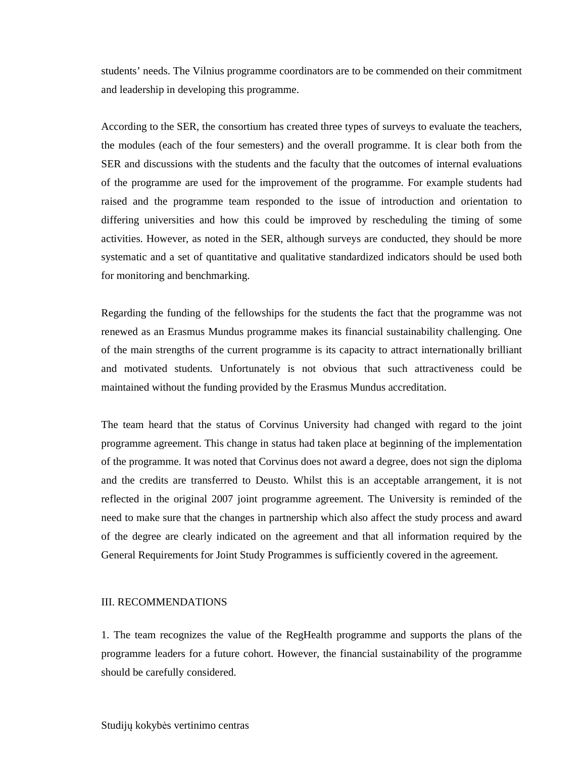students' needs. The Vilnius programme coordinators are to be commended on their commitment and leadership in developing this programme.

According to the SER, the consortium has created three types of surveys to evaluate the teachers, the modules (each of the four semesters) and the overall programme. It is clear both from the SER and discussions with the students and the faculty that the outcomes of internal evaluations of the programme are used for the improvement of the programme. For example students had raised and the programme team responded to the issue of introduction and orientation to differing universities and how this could be improved by rescheduling the timing of some activities. However, as noted in the SER, although surveys are conducted, they should be more systematic and a set of quantitative and qualitative standardized indicators should be used both for monitoring and benchmarking.

Regarding the funding of the fellowships for the students the fact that the programme was not renewed as an Erasmus Mundus programme makes its financial sustainability challenging. One of the main strengths of the current programme is its capacity to attract internationally brilliant and motivated students. Unfortunately is not obvious that such attractiveness could be maintained without the funding provided by the Erasmus Mundus accreditation.

The team heard that the status of Corvinus University had changed with regard to the joint programme agreement. This change in status had taken place at beginning of the implementation of the programme. It was noted that Corvinus does not award a degree, does not sign the diploma and the credits are transferred to Deusto. Whilst this is an acceptable arrangement, it is not reflected in the original 2007 joint programme agreement. The University is reminded of the need to make sure that the changes in partnership which also affect the study process and award of the degree are clearly indicated on the agreement and that all information required by the General Requirements for Joint Study Programmes is sufficiently covered in the agreement.

#### III. RECOMMENDATIONS

1. The team recognizes the value of the RegHealth programme and supports the plans of the programme leaders for a future cohort. However, the financial sustainability of the programme should be carefully considered.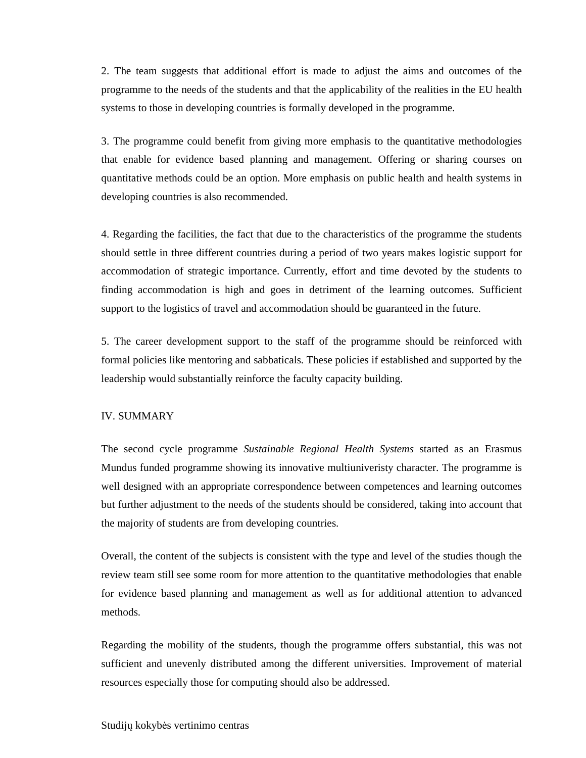2. The team suggests that additional effort is made to adjust the aims and outcomes of the programme to the needs of the students and that the applicability of the realities in the EU health systems to those in developing countries is formally developed in the programme.

3. The programme could benefit from giving more emphasis to the quantitative methodologies that enable for evidence based planning and management. Offering or sharing courses on quantitative methods could be an option. More emphasis on public health and health systems in developing countries is also recommended.

4. Regarding the facilities, the fact that due to the characteristics of the programme the students should settle in three different countries during a period of two years makes logistic support for accommodation of strategic importance. Currently, effort and time devoted by the students to finding accommodation is high and goes in detriment of the learning outcomes. Sufficient support to the logistics of travel and accommodation should be guaranteed in the future.

5. The career development support to the staff of the programme should be reinforced with formal policies like mentoring and sabbaticals. These policies if established and supported by the leadership would substantially reinforce the faculty capacity building.

#### IV. SUMMARY

The second cycle programme *Sustainable Regional Health Systems* started as an Erasmus Mundus funded programme showing its innovative multiuniveristy character. The programme is well designed with an appropriate correspondence between competences and learning outcomes but further adjustment to the needs of the students should be considered, taking into account that the majority of students are from developing countries.

Overall, the content of the subjects is consistent with the type and level of the studies though the review team still see some room for more attention to the quantitative methodologies that enable for evidence based planning and management as well as for additional attention to advanced methods.

Regarding the mobility of the students, though the programme offers substantial, this was not sufficient and unevenly distributed among the different universities. Improvement of material resources especially those for computing should also be addressed.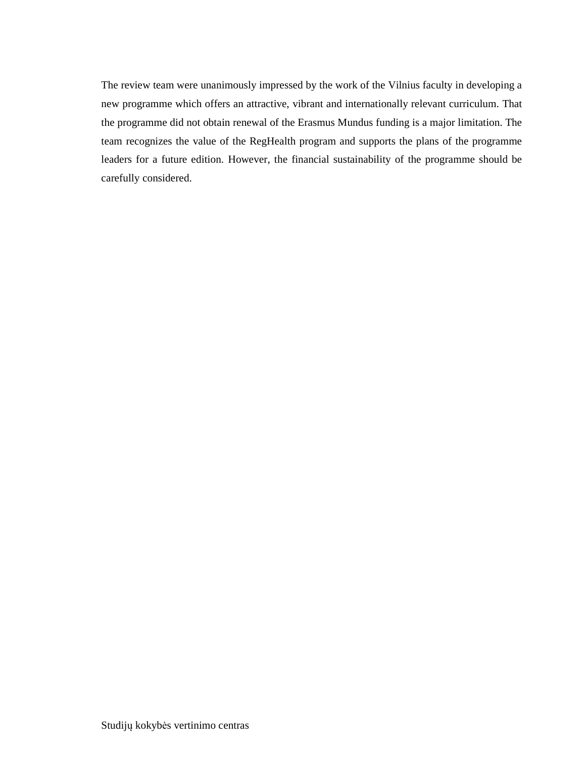The review team were unanimously impressed by the work of the Vilnius faculty in developing a new programme which offers an attractive, vibrant and internationally relevant curriculum. That the programme did not obtain renewal of the Erasmus Mundus funding is a major limitation. The team recognizes the value of the RegHealth program and supports the plans of the programme leaders for a future edition. However, the financial sustainability of the programme should be carefully considered.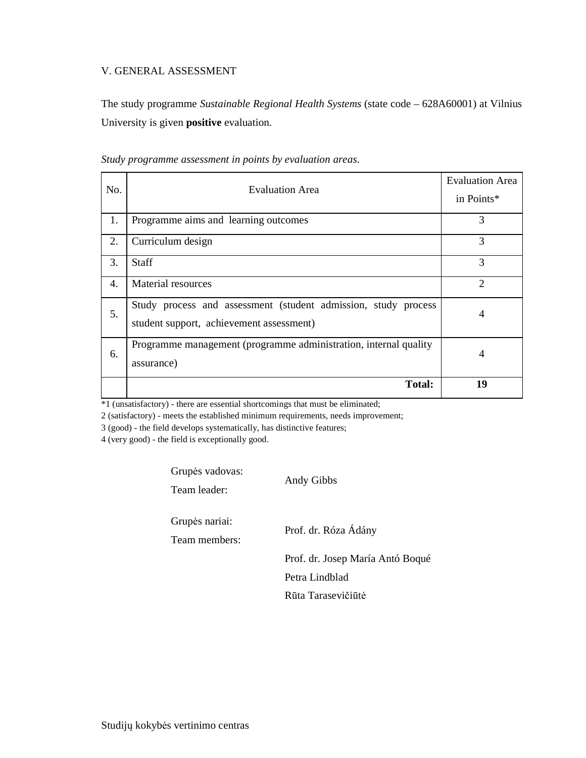#### V. GENERAL ASSESSMENT

The study programme *Sustainable Regional Health Systems* (state code – 628A60001) at Vilnius University is given **positive** evaluation.

| No. | <b>Evaluation Area</b>                                                                                     | <b>Evaluation Area</b><br>in Points* |
|-----|------------------------------------------------------------------------------------------------------------|--------------------------------------|
| 1.  | Programme aims and learning outcomes                                                                       | 3                                    |
| 2.  | Curriculum design                                                                                          | 3                                    |
| 3.  | <b>Staff</b>                                                                                               | 3                                    |
| 4.  | Material resources                                                                                         | $\overline{2}$                       |
| 5.  | Study process and assessment (student admission, study process<br>student support, achievement assessment) | 4                                    |
| 6.  | Programme management (programme administration, internal quality<br>assurance)                             | 4                                    |
|     | <b>Total:</b>                                                                                              | 19                                   |

*Study programme assessment in points by evaluation areas*.

\*1 (unsatisfactory) - there are essential shortcomings that must be eliminated;

2 (satisfactory) - meets the established minimum requirements, needs improvement;

3 (good) - the field develops systematically, has distinctive features;

4 (very good) - the field is exceptionally good.

Grupės vadovas:

Team leader:

Andy Gibbs

Grupės nariai:

Team members:

Prof. dr. Róza Ádány

Prof. dr. Josep María Antó Boqué

Petra Lindblad

Rūta Tarasevičiūtė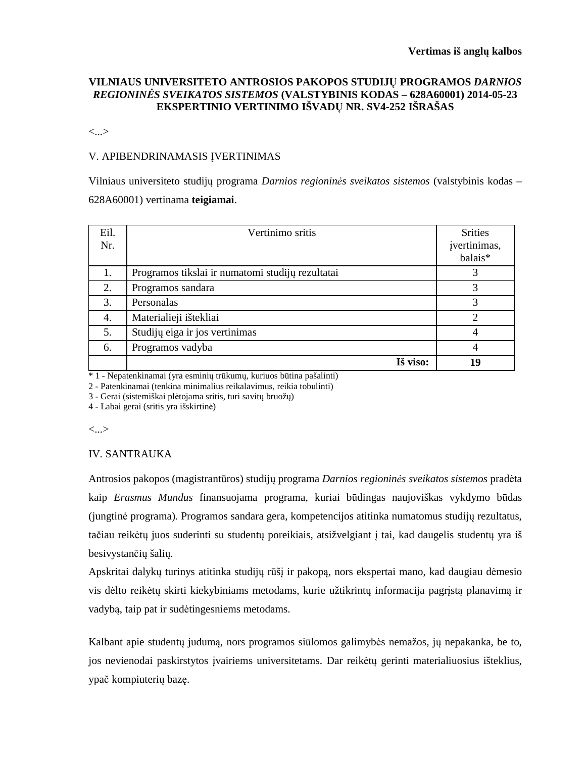#### **VILNIAUS UNIVERSITETO ANTROSIOS PAKOPOS STUDIJŲ PROGRAMOS** *DARNIOS REGIONINĖS SVEIKATOS SISTEMOS* **(VALSTYBINIS KODAS – 628A60001) 2014-05-23 EKSPERTINIO VERTINIMO IŠVADŲ NR. SV4-252 IŠRAŠAS**

<...>

#### V. APIBENDRINAMASIS ĮVERTINIMAS

Vilniaus universiteto studijų programa *Darnios regioninės sveikatos sistemos* (valstybinis kodas – 628A60001) vertinama **teigiamai**.

| Eil.<br>Nr. | Vertinimo sritis                                 | <b>Srities</b><br>įvertinimas,<br>balais* |
|-------------|--------------------------------------------------|-------------------------------------------|
| 1.          | Programos tikslai ir numatomi studijų rezultatai |                                           |
| 2.          | Programos sandara                                | 3                                         |
| 3.          | Personalas                                       | 3                                         |
| 4.          | Materialieji ištekliai                           | $\overline{2}$                            |
| 5.          | Studijų eiga ir jos vertinimas                   |                                           |
| 6.          | Programos vadyba                                 |                                           |
|             | Iš viso:                                         | 19                                        |

\* 1 - Nepatenkinamai (yra esminių trūkumų, kuriuos būtina pašalinti)

2 - Patenkinamai (tenkina minimalius reikalavimus, reikia tobulinti)

3 - Gerai (sistemiškai plėtojama sritis, turi savitų bruožų)

4 - Labai gerai (sritis yra išskirtinė)

<...>

#### IV. SANTRAUKA

Antrosios pakopos (magistrantūros) studijų programa *Darnios regioninės sveikatos sistemos* pradėta kaip *Erasmus Mundus* finansuojama programa, kuriai būdingas naujoviškas vykdymo būdas (jungtinė programa). Programos sandara gera, kompetencijos atitinka numatomus studijų rezultatus, tačiau reikėtų juos suderinti su studentų poreikiais, atsižvelgiant į tai, kad daugelis studentų yra iš besivystančių šalių.

Apskritai dalykų turinys atitinka studijų rūšį ir pakopą, nors ekspertai mano, kad daugiau dėmesio vis dėlto reikėtų skirti kiekybiniams metodams, kurie užtikrintų informacija pagrįstą planavimą ir vadybą, taip pat ir sudėtingesniems metodams.

Kalbant apie studentų judumą, nors programos siūlomos galimybės nemažos, jų nepakanka, be to, jos nevienodai paskirstytos įvairiems universitetams. Dar reikėtų gerinti materialiuosius išteklius, ypač kompiuterių bazę.